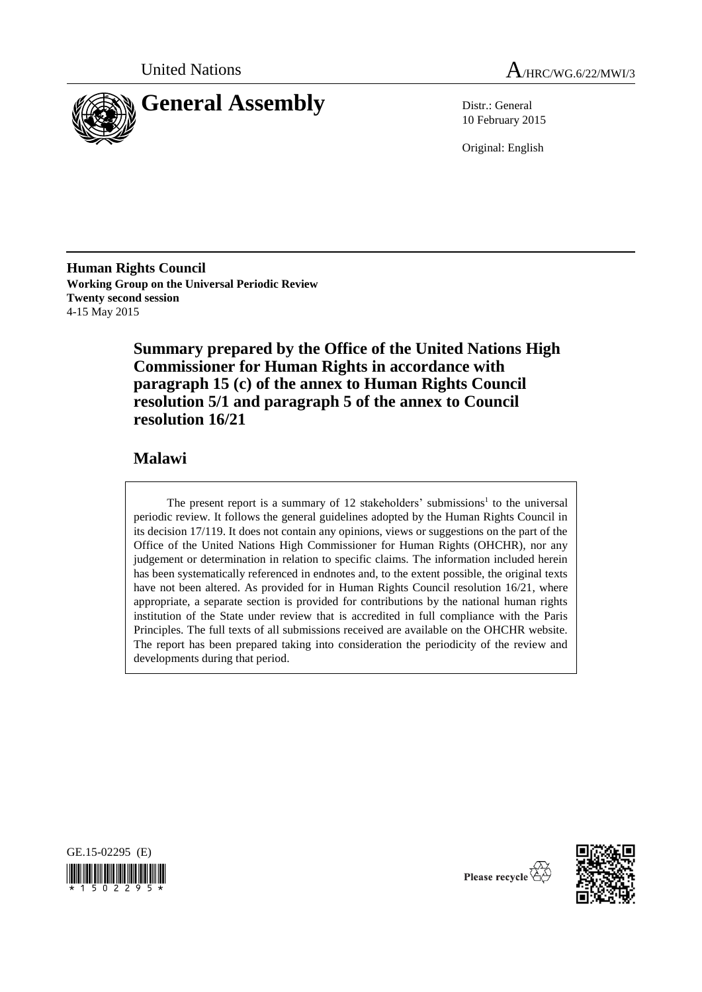



10 February 2015

Original: English

**Human Rights Council Working Group on the Universal Periodic Review Twenty second session** 4-15 May 2015

> **Summary prepared by the Office of the United Nations High Commissioner for Human Rights in accordance with paragraph 15 (c) of the annex to Human Rights Council resolution 5/1 and paragraph 5 of the annex to Council resolution 16/21**

# **Malawi**

The present report is a summary of  $12$  stakeholders' submissions<sup>1</sup> to the universal periodic review. It follows the general guidelines adopted by the Human Rights Council in its decision 17/119. It does not contain any opinions, views or suggestions on the part of the Office of the United Nations High Commissioner for Human Rights (OHCHR), nor any judgement or determination in relation to specific claims. The information included herein has been systematically referenced in endnotes and, to the extent possible, the original texts have not been altered. As provided for in Human Rights Council resolution 16/21, where appropriate, a separate section is provided for contributions by the national human rights institution of the State under review that is accredited in full compliance with the Paris Principles. The full texts of all submissions received are available on the OHCHR website. The report has been prepared taking into consideration the periodicity of the review and developments during that period.





Please recycle  $\overline{\mathcal{E}}$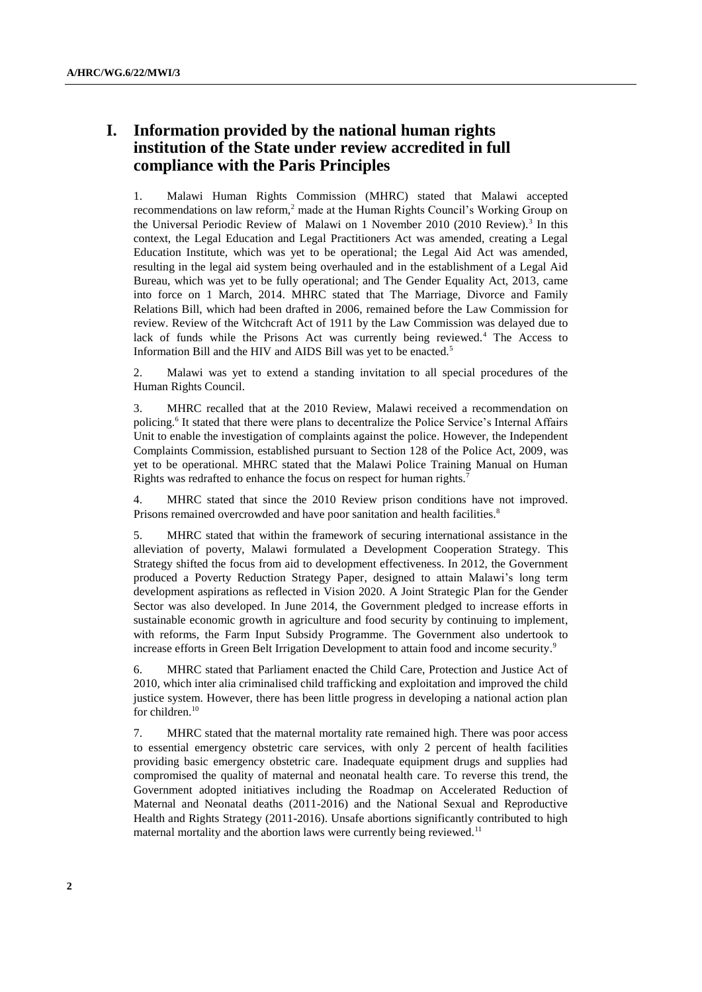# **I. Information provided by the national human rights institution of the State under review accredited in full compliance with the Paris Principles**

1. Malawi Human Rights Commission (MHRC) stated that Malawi accepted recommendations on law reform,<sup>2</sup> made at the Human Rights Council's Working Group on the Universal Periodic Review of Malawi on 1 November 2010 (2010 Review).<sup>3</sup> In this context, the Legal Education and Legal Practitioners Act was amended, creating a Legal Education Institute, which was yet to be operational; the Legal Aid Act was amended, resulting in the legal aid system being overhauled and in the establishment of a Legal Aid Bureau, which was yet to be fully operational; and The Gender Equality Act, 2013, came into force on 1 March, 2014. MHRC stated that The Marriage, Divorce and Family Relations Bill, which had been drafted in 2006, remained before the Law Commission for review. Review of the Witchcraft Act of 1911 by the Law Commission was delayed due to lack of funds while the Prisons Act was currently being reviewed.<sup>4</sup> The Access to Information Bill and the HIV and AIDS Bill was yet to be enacted.<sup>5</sup>

2. Malawi was yet to extend a standing invitation to all special procedures of the Human Rights Council.

3. MHRC recalled that at the 2010 Review, Malawi received a recommendation on policing.<sup>6</sup> It stated that there were plans to decentralize the Police Service's Internal Affairs Unit to enable the investigation of complaints against the police. However, the Independent Complaints Commission, established pursuant to Section 128 of the Police Act, 2009, was yet to be operational. MHRC stated that the Malawi Police Training Manual on Human Rights was redrafted to enhance the focus on respect for human rights.<sup>7</sup>

MHRC stated that since the 2010 Review prison conditions have not improved. Prisons remained overcrowded and have poor sanitation and health facilities.<sup>8</sup>

5. MHRC stated that within the framework of securing international assistance in the alleviation of poverty, Malawi formulated a Development Cooperation Strategy. This Strategy shifted the focus from aid to development effectiveness. In 2012, the Government produced a Poverty Reduction Strategy Paper, designed to attain Malawi's long term development aspirations as reflected in Vision 2020. A Joint Strategic Plan for the Gender Sector was also developed. In June 2014, the Government pledged to increase efforts in sustainable economic growth in agriculture and food security by continuing to implement, with reforms, the Farm Input Subsidy Programme. The Government also undertook to increase efforts in Green Belt Irrigation Development to attain food and income security.<sup>9</sup>

6. MHRC stated that Parliament enacted the Child Care, Protection and Justice Act of 2010, which inter alia criminalised child trafficking and exploitation and improved the child justice system. However, there has been little progress in developing a national action plan for children.<sup>10</sup>

7. MHRC stated that the maternal mortality rate remained high. There was poor access to essential emergency obstetric care services, with only 2 percent of health facilities providing basic emergency obstetric care. Inadequate equipment drugs and supplies had compromised the quality of maternal and neonatal health care. To reverse this trend, the Government adopted initiatives including the Roadmap on Accelerated Reduction of Maternal and Neonatal deaths (2011-2016) and the National Sexual and Reproductive Health and Rights Strategy (2011-2016). Unsafe abortions significantly contributed to high maternal mortality and the abortion laws were currently being reviewed.<sup>11</sup>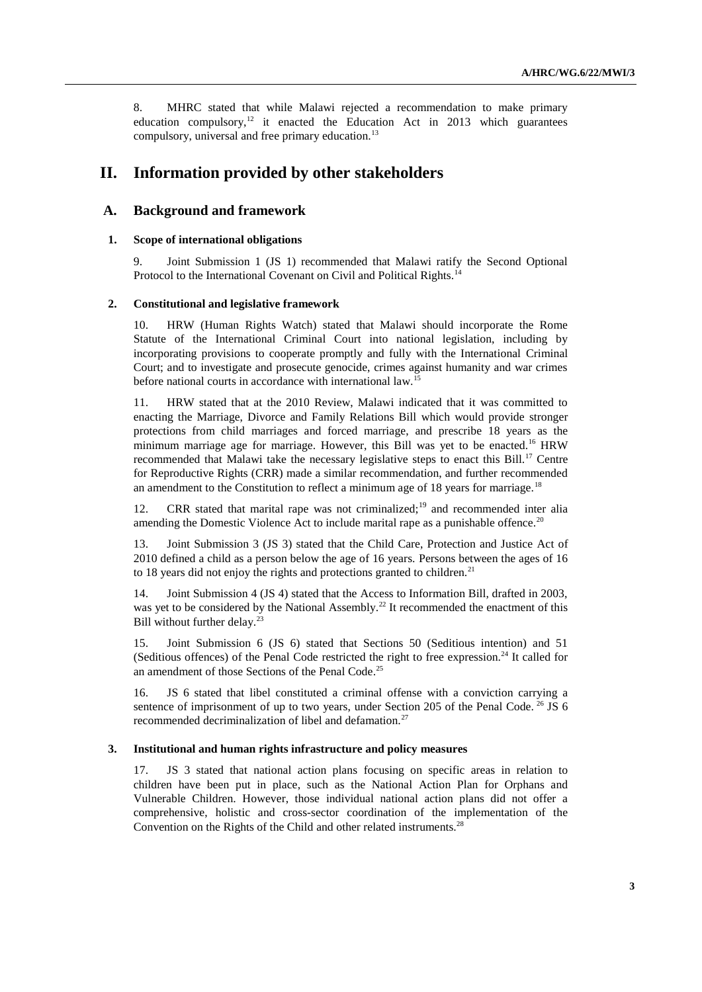8. MHRC stated that while Malawi rejected a recommendation to make primary education compulsory,<sup>12</sup> it enacted the Education Act in 2013 which guarantees compulsory, universal and free primary education.<sup>13</sup>

# **II. Information provided by other stakeholders**

## **A. Background and framework**

## **1. Scope of international obligations**

9. Joint Submission 1 (JS 1) recommended that Malawi ratify the Second Optional Protocol to the International Covenant on Civil and Political Rights.<sup>14</sup>

### **2. Constitutional and legislative framework**

10. HRW (Human Rights Watch) stated that Malawi should incorporate the Rome Statute of the International Criminal Court into national legislation, including by incorporating provisions to cooperate promptly and fully with the International Criminal Court; and to investigate and prosecute genocide, crimes against humanity and war crimes before national courts in accordance with international law.<sup>15</sup>

11. HRW stated that at the 2010 Review, Malawi indicated that it was committed to enacting the Marriage, Divorce and Family Relations Bill which would provide stronger protections from child marriages and forced marriage, and prescribe 18 years as the minimum marriage age for marriage. However, this Bill was yet to be enacted.<sup>16</sup> HRW recommended that Malawi take the necessary legislative steps to enact this Bill.<sup>17</sup> Centre for Reproductive Rights (CRR) made a similar recommendation, and further recommended an amendment to the Constitution to reflect a minimum age of 18 years for marriage.<sup>18</sup>

12. CRR stated that marital rape was not criminalized;<sup>19</sup> and recommended inter alia amending the Domestic Violence Act to include marital rape as a punishable offence.<sup>20</sup>

13. Joint Submission 3 (JS 3) stated that the Child Care, Protection and Justice Act of 2010 defined a child as a person below the age of 16 years. Persons between the ages of 16 to 18 years did not enjoy the rights and protections granted to children.<sup>21</sup>

14. Joint Submission 4 (JS 4) stated that the Access to Information Bill, drafted in 2003, was yet to be considered by the National Assembly.<sup>22</sup> It recommended the enactment of this Bill without further delay.<sup>23</sup>

15. Joint Submission 6 (JS 6) stated that Sections 50 (Seditious intention) and 51 (Seditious offences) of the Penal Code restricted the right to free expression.<sup>24</sup> It called for an amendment of those Sections of the Penal Code.<sup>25</sup>

16. JS 6 stated that libel constituted a criminal offense with a conviction carrying a sentence of imprisonment of up to two years, under Section 205 of the Penal Code.  $^{26}$  JS 6 recommended decriminalization of libel and defamation.<sup>27</sup>

#### **3. Institutional and human rights infrastructure and policy measures**

17. JS 3 stated that national action plans focusing on specific areas in relation to children have been put in place, such as the National Action Plan for Orphans and Vulnerable Children. However, those individual national action plans did not offer a comprehensive, holistic and cross-sector coordination of the implementation of the Convention on the Rights of the Child and other related instruments.<sup>28</sup>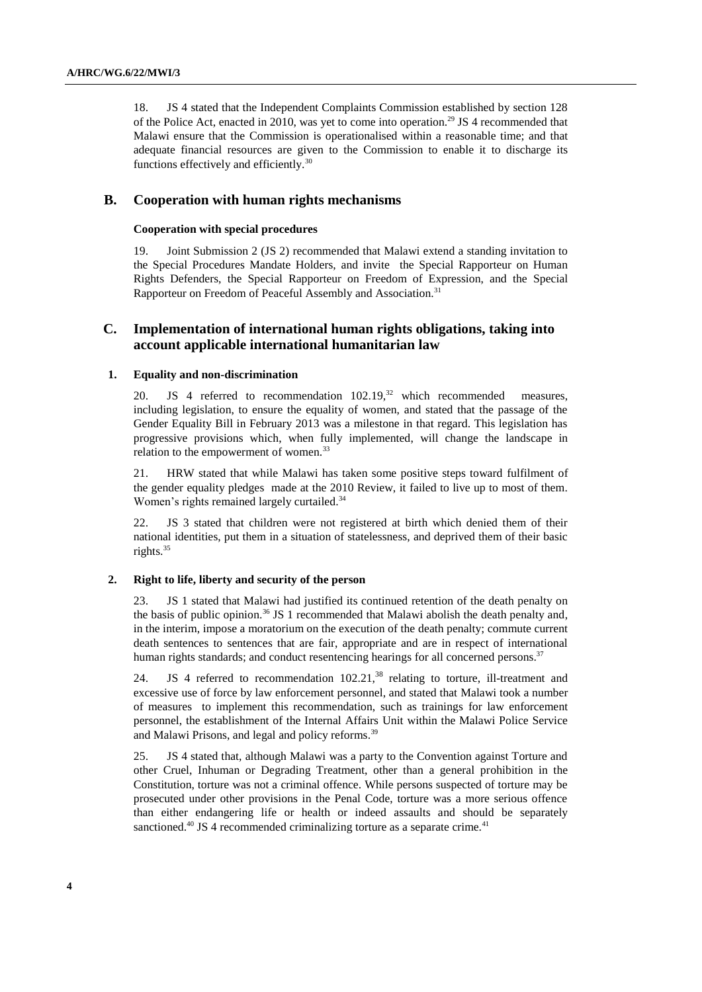18. JS 4 stated that the Independent Complaints Commission established by section 128 of the Police Act, enacted in 2010, was yet to come into operation.<sup>29</sup> JS 4 recommended that Malawi ensure that the Commission is operationalised within a reasonable time; and that adequate financial resources are given to the Commission to enable it to discharge its functions effectively and efficiently.<sup>30</sup>

## **B. Cooperation with human rights mechanisms**

## **Cooperation with special procedures**

19. Joint Submission 2 (JS 2) recommended that Malawi extend a standing invitation to the Special Procedures Mandate Holders, and invite the Special Rapporteur on Human Rights Defenders, the Special Rapporteur on Freedom of Expression, and the Special Rapporteur on Freedom of Peaceful Assembly and Association.<sup>31</sup>

## **C. Implementation of international human rights obligations, taking into account applicable international humanitarian law**

## **1. Equality and non-discrimination**

20. JS 4 referred to recommendation  $102.19$ , <sup>32</sup> which recommended measures, including legislation, to ensure the equality of women, and stated that the passage of the Gender Equality Bill in February 2013 was a milestone in that regard. This legislation has progressive provisions which, when fully implemented, will change the landscape in relation to the empowerment of women.<sup>33</sup>

21. HRW stated that while Malawi has taken some positive steps toward fulfilment of the gender equality pledges made at the 2010 Review, it failed to live up to most of them. Women's rights remained largely curtailed.<sup>34</sup>

22. JS 3 stated that children were not registered at birth which denied them of their national identities, put them in a situation of statelessness, and deprived them of their basic rights.<sup>35</sup>

### **2. Right to life, liberty and security of the person**

23. JS 1 stated that Malawi had justified its continued retention of the death penalty on the basis of public opinion.<sup>36</sup> JS 1 recommended that Malawi abolish the death penalty and, in the interim, impose a moratorium on the execution of the death penalty; commute current death sentences to sentences that are fair, appropriate and are in respect of international human rights standards; and conduct resentencing hearings for all concerned persons.<sup>37</sup>

24. JS 4 referred to recommendation  $102.21$ ,<sup>38</sup> relating to torture, ill-treatment and excessive use of force by law enforcement personnel, and stated that Malawi took a number of measures to implement this recommendation, such as trainings for law enforcement personnel, the establishment of the Internal Affairs Unit within the Malawi Police Service and Malawi Prisons, and legal and policy reforms.<sup>39</sup>

25. JS 4 stated that, although Malawi was a party to the Convention against Torture and other Cruel, Inhuman or Degrading Treatment, other than a general prohibition in the Constitution, torture was not a criminal offence. While persons suspected of torture may be prosecuted under other provisions in the Penal Code, torture was a more serious offence than either endangering life or health or indeed assaults and should be separately sanctioned.<sup>40</sup> JS 4 recommended criminalizing torture as a separate crime.<sup>41</sup>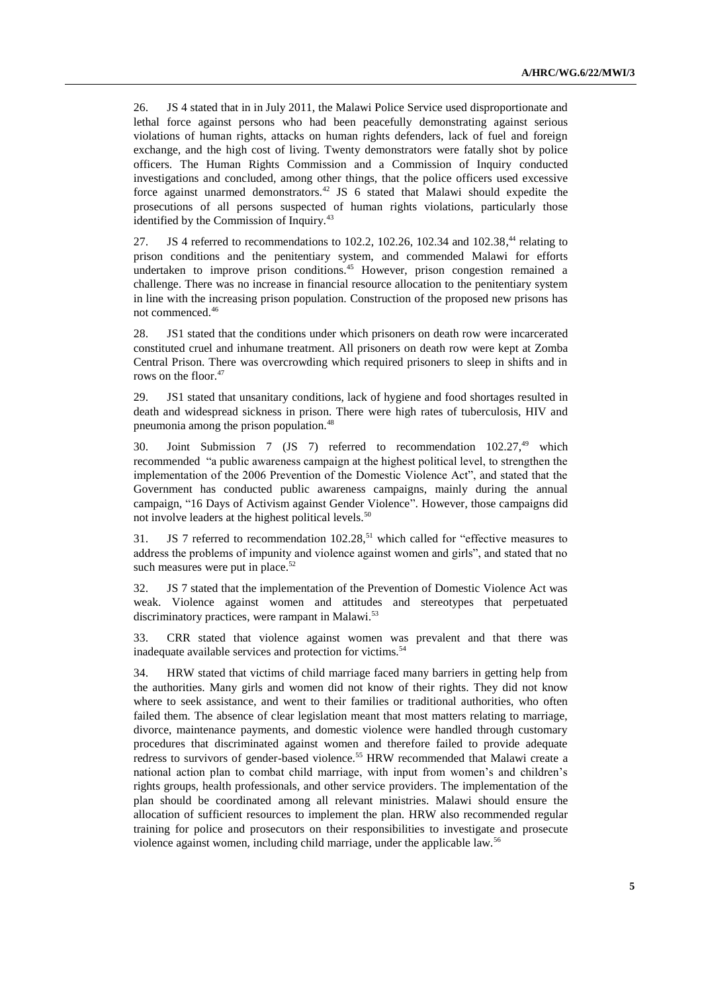26. JS 4 stated that in in July 2011, the Malawi Police Service used disproportionate and lethal force against persons who had been peacefully demonstrating against serious violations of human rights, attacks on human rights defenders, lack of fuel and foreign exchange, and the high cost of living. Twenty demonstrators were fatally shot by police officers. The Human Rights Commission and a Commission of Inquiry conducted investigations and concluded, among other things, that the police officers used excessive force against unarmed demonstrators.<sup>42</sup> JS  $6$  stated that Malawi should expedite the prosecutions of all persons suspected of human rights violations, particularly those identified by the Commission of Inquiry.<sup>43</sup>

27. **JS** 4 referred to recommendations to 102.2, 102.26, 102.34 and 102.38,<sup>44</sup> relating to prison conditions and the penitentiary system, and commended Malawi for efforts undertaken to improve prison conditions.<sup>45</sup> However, prison congestion remained a challenge. There was no increase in financial resource allocation to the penitentiary system in line with the increasing prison population. Construction of the proposed new prisons has not commenced.<sup>46</sup>

28. JS1 stated that the conditions under which prisoners on death row were incarcerated constituted cruel and inhumane treatment. All prisoners on death row were kept at Zomba Central Prison. There was overcrowding which required prisoners to sleep in shifts and in rows on the floor.<sup>47</sup>

29. JS1 stated that unsanitary conditions, lack of hygiene and food shortages resulted in death and widespread sickness in prison. There were high rates of tuberculosis, HIV and pneumonia among the prison population.<sup>48</sup>

30. Joint Submission 7 (JS 7) referred to recommendation 102.27,<sup>49</sup> which recommended "a public awareness campaign at the highest political level, to strengthen the implementation of the 2006 Prevention of the Domestic Violence Act", and stated that the Government has conducted public awareness campaigns, mainly during the annual campaign, "16 Days of Activism against Gender Violence". However, those campaigns did not involve leaders at the highest political levels.<sup>50</sup>

31. JS 7 referred to recommendation  $102.28$ ,<sup>51</sup> which called for "effective measures to address the problems of impunity and violence against women and girls", and stated that no such measures were put in place.<sup>52</sup>

32. JS 7 stated that the implementation of the Prevention of Domestic Violence Act was weak. Violence against women and attitudes and stereotypes that perpetuated discriminatory practices, were rampant in Malawi.<sup>53</sup>

33. CRR stated that violence against women was prevalent and that there was inadequate available services and protection for victims.<sup>54</sup>

34. HRW stated that victims of child marriage faced many barriers in getting help from the authorities. Many girls and women did not know of their rights. They did not know where to seek assistance, and went to their families or traditional authorities, who often failed them. The absence of clear legislation meant that most matters relating to marriage, divorce, maintenance payments, and domestic violence were handled through customary procedures that discriminated against women and therefore failed to provide adequate redress to survivors of gender-based violence.<sup>55</sup> HRW recommended that Malawi create a national action plan to combat child marriage, with input from women's and children's rights groups, health professionals, and other service providers. The implementation of the plan should be coordinated among all relevant ministries. Malawi should ensure the allocation of sufficient resources to implement the plan. HRW also recommended regular training for police and prosecutors on their responsibilities to investigate and prosecute violence against women, including child marriage, under the applicable law.<sup>56</sup>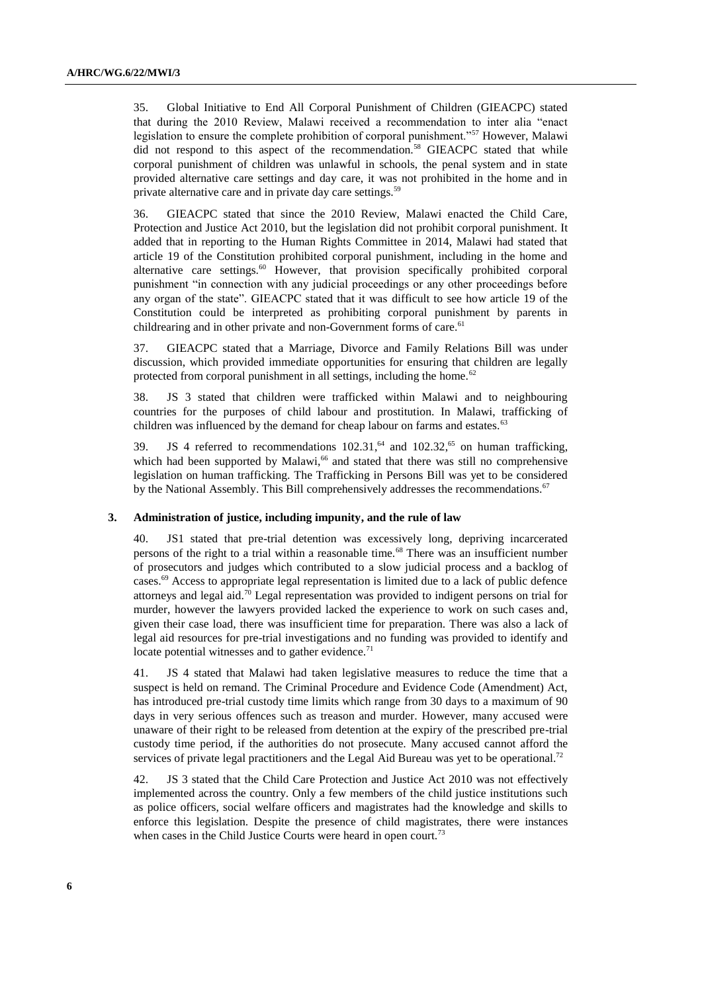35. Global Initiative to End All Corporal Punishment of Children (GIEACPC) stated that during the 2010 Review, Malawi received a recommendation to inter alia "enact legislation to ensure the complete prohibition of corporal punishment."<sup>57</sup> However, Malawi did not respond to this aspect of the recommendation.<sup>58</sup> GIEACPC stated that while corporal punishment of children was unlawful in schools, the penal system and in state provided alternative care settings and day care, it was not prohibited in the home and in private alternative care and in private day care settings.<sup>59</sup>

36. GIEACPC stated that since the 2010 Review, Malawi enacted the Child Care, Protection and Justice Act 2010, but the legislation did not prohibit corporal punishment. It added that in reporting to the Human Rights Committee in 2014, Malawi had stated that article 19 of the Constitution prohibited corporal punishment, including in the home and alternative care settings.<sup>60</sup> However, that provision specifically prohibited corporal punishment "in connection with any judicial proceedings or any other proceedings before any organ of the state". GIEACPC stated that it was difficult to see how article 19 of the Constitution could be interpreted as prohibiting corporal punishment by parents in childrearing and in other private and non-Government forms of care.<sup>61</sup>

37. GIEACPC stated that a Marriage, Divorce and Family Relations Bill was under discussion, which provided immediate opportunities for ensuring that children are legally protected from corporal punishment in all settings, including the home. $62$ 

38. JS 3 stated that children were trafficked within Malawi and to neighbouring countries for the purposes of child labour and prostitution. In Malawi, trafficking of children was influenced by the demand for cheap labour on farms and estates.<sup>63</sup>

39. JS 4 referred to recommendations  $102.31, ^{64}$  and  $102.32, ^{65}$  on human trafficking, which had been supported by Malawi, $66$  and stated that there was still no comprehensive legislation on human trafficking. The Trafficking in Persons Bill was yet to be considered by the National Assembly. This Bill comprehensively addresses the recommendations.<sup>67</sup>

#### **3. Administration of justice, including impunity, and the rule of law**

40. JS1 stated that pre-trial detention was excessively long, depriving incarcerated persons of the right to a trial within a reasonable time.<sup>68</sup> There was an insufficient number of prosecutors and judges which contributed to a slow judicial process and a backlog of cases.<sup>69</sup> Access to appropriate legal representation is limited due to a lack of public defence attorneys and legal aid.<sup>70</sup> Legal representation was provided to indigent persons on trial for murder, however the lawyers provided lacked the experience to work on such cases and, given their case load, there was insufficient time for preparation. There was also a lack of legal aid resources for pre-trial investigations and no funding was provided to identify and locate potential witnesses and to gather evidence. $71$ 

41. JS 4 stated that Malawi had taken legislative measures to reduce the time that a suspect is held on remand. The Criminal Procedure and Evidence Code (Amendment) Act, has introduced pre-trial custody time limits which range from 30 days to a maximum of 90 days in very serious offences such as treason and murder. However, many accused were unaware of their right to be released from detention at the expiry of the prescribed pre-trial custody time period, if the authorities do not prosecute. Many accused cannot afford the services of private legal practitioners and the Legal Aid Bureau was yet to be operational.<sup>72</sup>

42. JS 3 stated that the Child Care Protection and Justice Act 2010 was not effectively implemented across the country. Only a few members of the child justice institutions such as police officers, social welfare officers and magistrates had the knowledge and skills to enforce this legislation. Despite the presence of child magistrates, there were instances when cases in the Child Justice Courts were heard in open court.<sup>73</sup>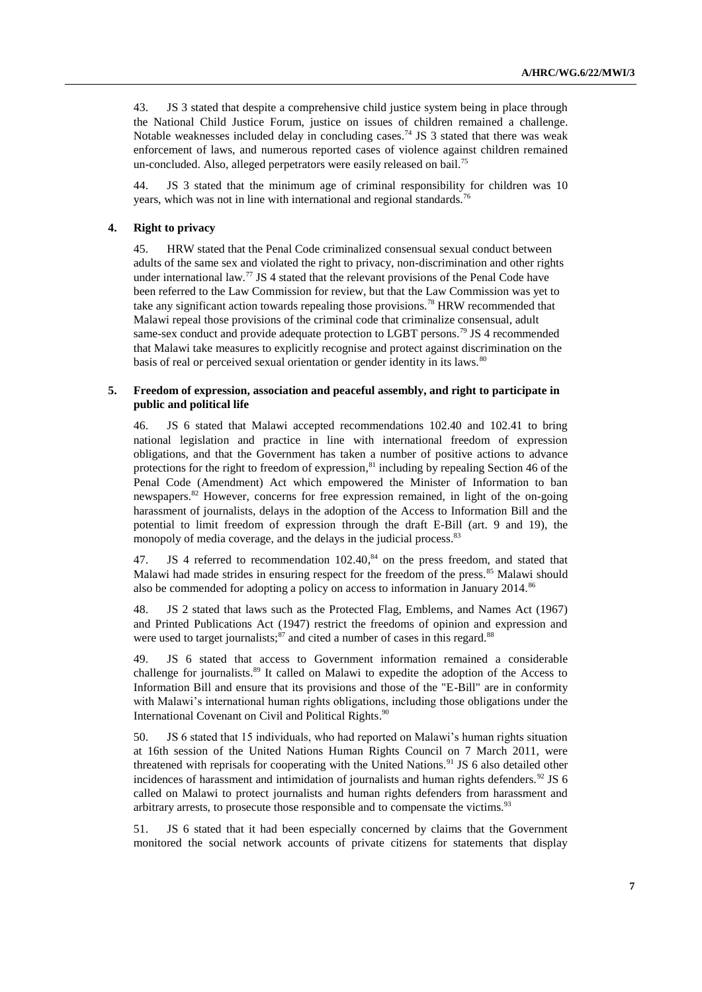43. JS 3 stated that despite a comprehensive child justice system being in place through the National Child Justice Forum, justice on issues of children remained a challenge. Notable weaknesses included delay in concluding cases.<sup>74</sup> JS 3 stated that there was weak enforcement of laws, and numerous reported cases of violence against children remained un-concluded. Also, alleged perpetrators were easily released on bail.<sup>75</sup>

44. JS 3 stated that the minimum age of criminal responsibility for children was 10 years, which was not in line with international and regional standards.<sup>76</sup>

#### **4. Right to privacy**

45. HRW stated that the Penal Code criminalized consensual sexual conduct between adults of the same sex and violated the right to privacy, non-discrimination and other rights under international law.<sup>77</sup> JS 4 stated that the relevant provisions of the Penal Code have been referred to the Law Commission for review, but that the Law Commission was yet to take any significant action towards repealing those provisions.<sup>78</sup> HRW recommended that Malawi repeal those provisions of the criminal code that criminalize consensual, adult same-sex conduct and provide adequate protection to LGBT persons.<sup>79</sup> JS 4 recommended that Malawi take measures to explicitly recognise and protect against discrimination on the basis of real or perceived sexual orientation or gender identity in its laws.<sup>80</sup>

### **5. Freedom of expression, association and peaceful assembly, and right to participate in public and political life**

46. JS 6 stated that Malawi accepted recommendations 102.40 and 102.41 to bring national legislation and practice in line with international freedom of expression obligations, and that the Government has taken a number of positive actions to advance protections for the right to freedom of expression,<sup>81</sup> including by repealing Section 46 of the Penal Code (Amendment) Act which empowered the Minister of Information to ban newspapers.<sup>82</sup> However, concerns for free expression remained, in light of the on-going harassment of journalists, delays in the adoption of the Access to Information Bill and the potential to limit freedom of expression through the draft E-Bill (art. 9 and 19), the monopoly of media coverage, and the delays in the judicial process.<sup>83</sup>

47. JS 4 referred to recommendation  $102.40<sup>84</sup>$  on the press freedom, and stated that Malawi had made strides in ensuring respect for the freedom of the press.<sup>85</sup> Malawi should also be commended for adopting a policy on access to information in January 2014.<sup>86</sup>

48. JS 2 stated that laws such as the Protected Flag, Emblems, and Names Act (1967) and Printed Publications Act (1947) restrict the freedoms of opinion and expression and were used to target journalists;<sup>87</sup> and cited a number of cases in this regard.<sup>88</sup>

49. JS 6 stated that access to Government information remained a considerable challenge for journalists.<sup>89</sup> It called on Malawi to expedite the adoption of the Access to Information Bill and ensure that its provisions and those of the "E-Bill" are in conformity with Malawi's international human rights obligations, including those obligations under the International Covenant on Civil and Political Rights.<sup>90</sup>

50. JS 6 stated that 15 individuals, who had reported on Malawi's human rights situation at 16th session of the United Nations Human Rights Council on 7 March 2011, were threatened with reprisals for cooperating with the United Nations.<sup>91</sup> JS 6 also detailed other incidences of harassment and intimidation of journalists and human rights defenders.<sup>92</sup> JS 6 called on Malawi to protect journalists and human rights defenders from harassment and arbitrary arrests, to prosecute those responsible and to compensate the victims.<sup>93</sup>

51. JS 6 stated that it had been especially concerned by claims that the Government monitored the social network accounts of private citizens for statements that display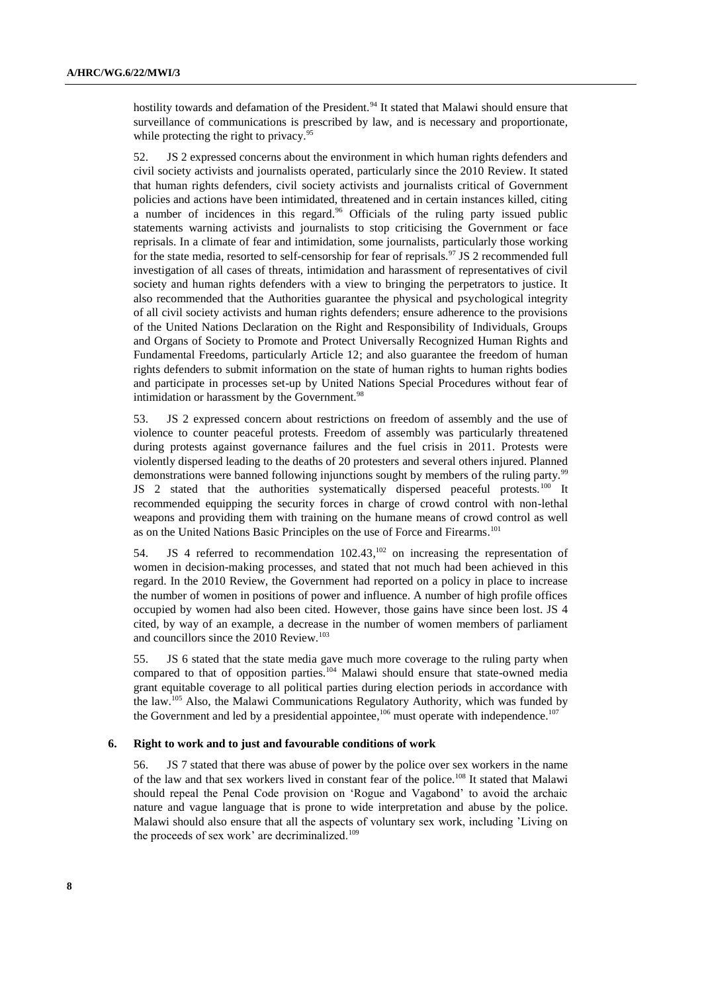hostility towards and defamation of the President.<sup>94</sup> It stated that Malawi should ensure that surveillance of communications is prescribed by law, and is necessary and proportionate, while protecting the right to privacy.<sup>95</sup>

52. JS 2 expressed concerns about the environment in which human rights defenders and civil society activists and journalists operated, particularly since the 2010 Review. It stated that human rights defenders, civil society activists and journalists critical of Government policies and actions have been intimidated, threatened and in certain instances killed, citing a number of incidences in this regard.<sup>96</sup> Officials of the ruling party issued public statements warning activists and journalists to stop criticising the Government or face reprisals. In a climate of fear and intimidation, some journalists, particularly those working for the state media, resorted to self-censorship for fear of reprisals.<sup>97</sup> JS 2 recommended full investigation of all cases of threats, intimidation and harassment of representatives of civil society and human rights defenders with a view to bringing the perpetrators to justice. It also recommended that the Authorities guarantee the physical and psychological integrity of all civil society activists and human rights defenders; ensure adherence to the provisions of the United Nations Declaration on the Right and Responsibility of Individuals, Groups and Organs of Society to Promote and Protect Universally Recognized Human Rights and Fundamental Freedoms, particularly Article 12; and also guarantee the freedom of human rights defenders to submit information on the state of human rights to human rights bodies and participate in processes set-up by United Nations Special Procedures without fear of intimidation or harassment by the Government.<sup>98</sup>

53. JS 2 expressed concern about restrictions on freedom of assembly and the use of violence to counter peaceful protests. Freedom of assembly was particularly threatened during protests against governance failures and the fuel crisis in 2011. Protests were violently dispersed leading to the deaths of 20 protesters and several others injured. Planned demonstrations were banned following injunctions sought by members of the ruling party.<sup>99</sup> JS 2 stated that the authorities systematically dispersed peaceful protests.<sup>100</sup> It recommended equipping the security forces in charge of crowd control with non-lethal weapons and providing them with training on the humane means of crowd control as well as on the United Nations Basic Principles on the use of Force and Firearms.<sup>101</sup>

54. JS 4 referred to recommendation 102.43,<sup>102</sup> on increasing the representation of women in decision-making processes, and stated that not much had been achieved in this regard. In the 2010 Review, the Government had reported on a policy in place to increase the number of women in positions of power and influence. A number of high profile offices occupied by women had also been cited. However, those gains have since been lost. JS 4 cited, by way of an example, a decrease in the number of women members of parliament and councillors since the 2010 Review.<sup>103</sup>

55. JS 6 stated that the state media gave much more coverage to the ruling party when compared to that of opposition parties.<sup>104</sup> Malawi should ensure that state-owned media grant equitable coverage to all political parties during election periods in accordance with the law.<sup>105</sup> Also, the Malawi Communications Regulatory Authority, which was funded by the Government and led by a presidential appointee,  $106$  must operate with independence.  $107$ 

## **6. Right to work and to just and favourable conditions of work**

56. JS 7 stated that there was abuse of power by the police over sex workers in the name of the law and that sex workers lived in constant fear of the police.<sup>108</sup> It stated that Malawi should repeal the Penal Code provision on 'Rogue and Vagabond' to avoid the archaic nature and vague language that is prone to wide interpretation and abuse by the police. Malawi should also ensure that all the aspects of voluntary sex work, including 'Living on the proceeds of sex work' are decriminalized.<sup>109</sup>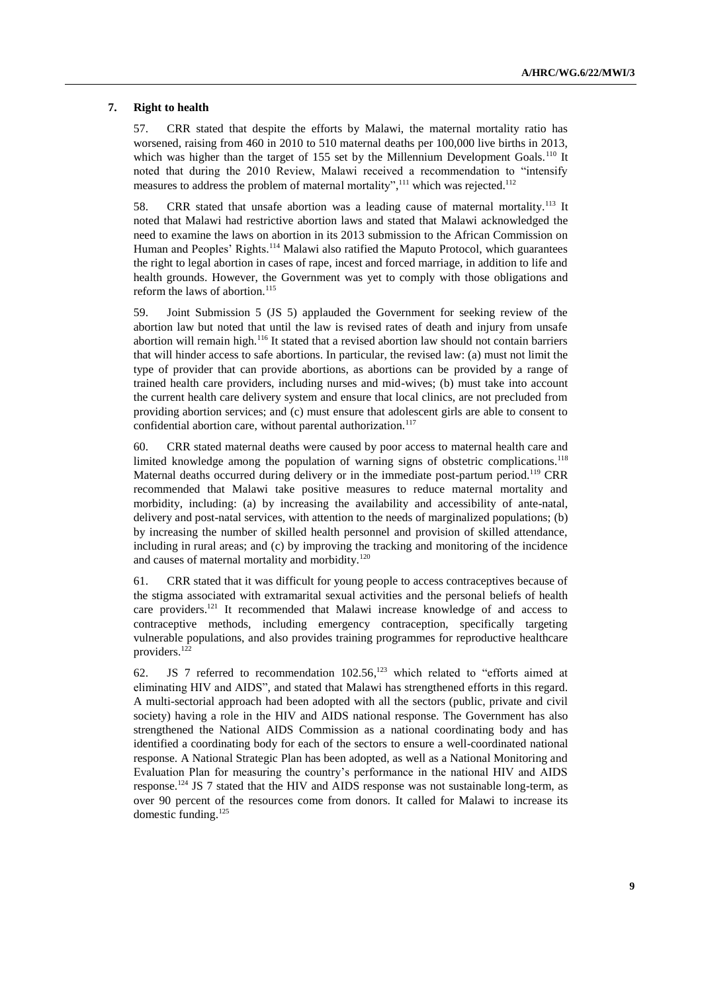#### **7. Right to health**

57. CRR stated that despite the efforts by Malawi, the maternal mortality ratio has worsened, raising from 460 in 2010 to 510 maternal deaths per 100,000 live births in 2013, which was higher than the target of 155 set by the Millennium Development Goals.<sup>110</sup> It noted that during the 2010 Review, Malawi received a recommendation to "intensify measures to address the problem of maternal mortality",<sup>111</sup> which was rejected.<sup>112</sup>

58. CRR stated that unsafe abortion was a leading cause of maternal mortality.<sup>113</sup> It noted that Malawi had restrictive abortion laws and stated that Malawi acknowledged the need to examine the laws on abortion in its 2013 submission to the African Commission on Human and Peoples' Rights.<sup>114</sup> Malawi also ratified the Maputo Protocol, which guarantees the right to legal abortion in cases of rape, incest and forced marriage, in addition to life and health grounds. However, the Government was yet to comply with those obligations and reform the laws of abortion.<sup>115</sup>

59. Joint Submission 5 (JS 5) applauded the Government for seeking review of the abortion law but noted that until the law is revised rates of death and injury from unsafe abortion will remain high.<sup>116</sup> It stated that a revised abortion law should not contain barriers that will hinder access to safe abortions. In particular, the revised law: (a) must not limit the type of provider that can provide abortions, as abortions can be provided by a range of trained health care providers, including nurses and mid-wives; (b) must take into account the current health care delivery system and ensure that local clinics, are not precluded from providing abortion services; and (c) must ensure that adolescent girls are able to consent to confidential abortion care, without parental authorization.<sup>117</sup>

60. CRR stated maternal deaths were caused by poor access to maternal health care and limited knowledge among the population of warning signs of obstetric complications.<sup>118</sup> Maternal deaths occurred during delivery or in the immediate post-partum period.<sup>119</sup> CRR recommended that Malawi take positive measures to reduce maternal mortality and morbidity, including: (a) by increasing the availability and accessibility of ante-natal, delivery and post-natal services, with attention to the needs of marginalized populations; (b) by increasing the number of skilled health personnel and provision of skilled attendance, including in rural areas; and (c) by improving the tracking and monitoring of the incidence and causes of maternal mortality and morbidity.<sup>120</sup>

61. CRR stated that it was difficult for young people to access contraceptives because of the stigma associated with extramarital sexual activities and the personal beliefs of health care providers.<sup>121</sup> It recommended that Malawi increase knowledge of and access to contraceptive methods, including emergency contraception, specifically targeting vulnerable populations, and also provides training programmes for reproductive healthcare providers.<sup>122</sup>

62. JS 7 referred to recommendation 102.56, <sup>123</sup> which related to "efforts aimed at eliminating HIV and AIDS", and stated that Malawi has strengthened efforts in this regard. A multi-sectorial approach had been adopted with all the sectors (public, private and civil society) having a role in the HIV and AIDS national response. The Government has also strengthened the National AIDS Commission as a national coordinating body and has identified a coordinating body for each of the sectors to ensure a well-coordinated national response. A National Strategic Plan has been adopted, as well as a National Monitoring and Evaluation Plan for measuring the country's performance in the national HIV and AIDS response.<sup>124</sup> JS 7 stated that the HIV and AIDS response was not sustainable long-term, as over 90 percent of the resources come from donors. It called for Malawi to increase its domestic funding. 125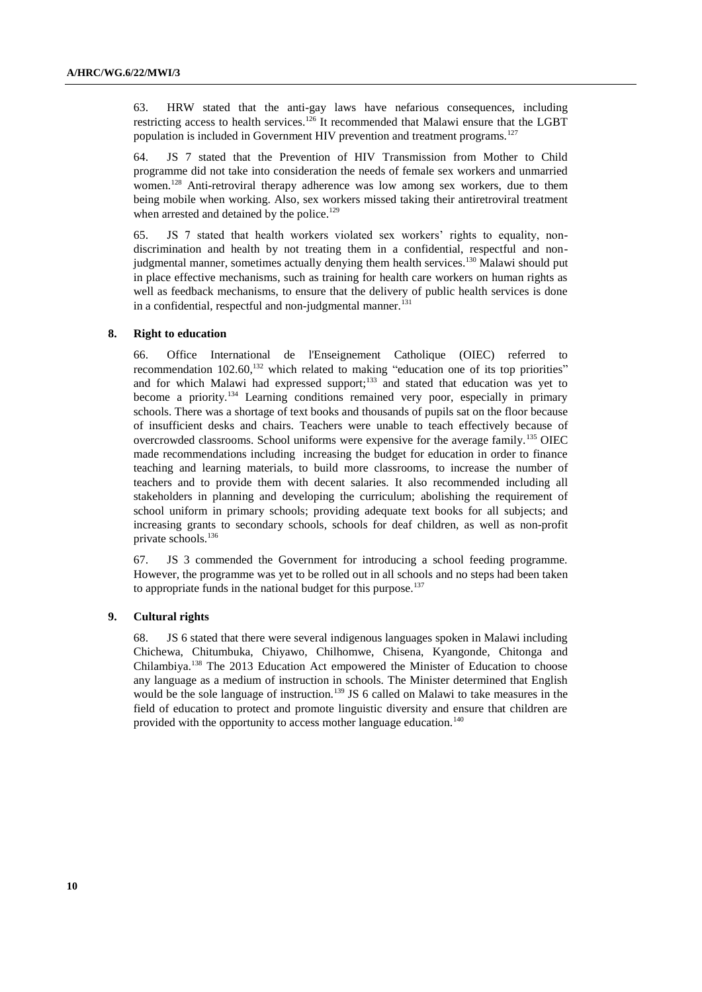63. HRW stated that the anti-gay laws have nefarious consequences, including restricting access to health services.<sup>126</sup> It recommended that Malawi ensure that the LGBT population is included in Government HIV prevention and treatment programs.<sup>127</sup>

64. JS 7 stated that the Prevention of HIV Transmission from Mother to Child programme did not take into consideration the needs of female sex workers and unmarried women.<sup>128</sup> Anti-retroviral therapy adherence was low among sex workers, due to them being mobile when working. Also, sex workers missed taking their antiretroviral treatment when arrested and detained by the police.<sup>129</sup>

65. JS 7 stated that health workers violated sex workers' rights to equality, nondiscrimination and health by not treating them in a confidential, respectful and nonjudgmental manner, sometimes actually denying them health services.<sup>130</sup> Malawi should put in place effective mechanisms, such as training for health care workers on human rights as well as feedback mechanisms, to ensure that the delivery of public health services is done in a confidential, respectful and non-judgmental manner.<sup>131</sup>

#### **8. Right to education**

66. Office International de l'Enseignement Catholique (OIEC) referred to recommendation  $102.60$ ,<sup>132</sup> which related to making "education one of its top priorities" and for which Malawi had expressed support; $133$  and stated that education was yet to become a priority.<sup>134</sup> Learning conditions remained very poor, especially in primary schools. There was a shortage of text books and thousands of pupils sat on the floor because of insufficient desks and chairs. Teachers were unable to teach effectively because of overcrowded classrooms. School uniforms were expensive for the average family.<sup>135</sup> OIEC made recommendations including increasing the budget for education in order to finance teaching and learning materials, to build more classrooms, to increase the number of teachers and to provide them with decent salaries. It also recommended including all stakeholders in planning and developing the curriculum; abolishing the requirement of school uniform in primary schools; providing adequate text books for all subjects; and increasing grants to secondary schools, schools for deaf children, as well as non-profit private schools. 136

67. JS 3 commended the Government for introducing a school feeding programme. However, the programme was yet to be rolled out in all schools and no steps had been taken to appropriate funds in the national budget for this purpose.<sup>137</sup>

#### **9. Cultural rights**

68. JS 6 stated that there were several indigenous languages spoken in Malawi including Chichewa, Chitumbuka, Chiyawo, Chilhomwe, Chisena, Kyangonde, Chitonga and Chilambiya.<sup>138</sup> The 2013 Education Act empowered the Minister of Education to choose any language as a medium of instruction in schools. The Minister determined that English would be the sole language of instruction.<sup>139</sup> JS 6 called on Malawi to take measures in the field of education to protect and promote linguistic diversity and ensure that children are provided with the opportunity to access mother language education.<sup>140</sup>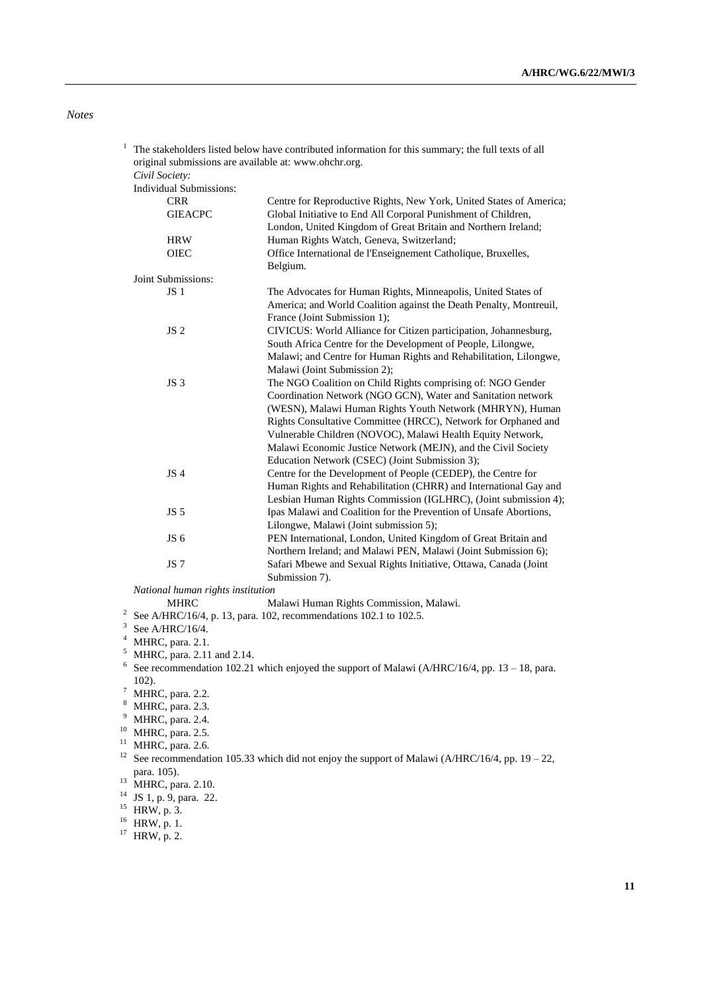*Notes*

| 1 |                                                       | The stakeholders listed below have contributed information for this summary; the full texts of all |
|---|-------------------------------------------------------|----------------------------------------------------------------------------------------------------|
|   | original submissions are available at: www.ohchr.org. |                                                                                                    |
|   | Civil Society:                                        |                                                                                                    |
|   | <b>Individual Submissions:</b>                        |                                                                                                    |
|   | <b>CRR</b>                                            | Centre for Reproductive Rights, New York, United States of America;                                |
|   | <b>GIEACPC</b>                                        | Global Initiative to End All Corporal Punishment of Children,                                      |
|   |                                                       | London, United Kingdom of Great Britain and Northern Ireland;                                      |
|   | <b>HRW</b>                                            | Human Rights Watch, Geneva, Switzerland;                                                           |
|   | <b>OIEC</b>                                           | Office International de l'Enseignement Catholique, Bruxelles,                                      |
|   |                                                       | Belgium.                                                                                           |
|   | Joint Submissions:                                    |                                                                                                    |
|   | JS <sub>1</sub>                                       | The Advocates for Human Rights, Minneapolis, United States of                                      |
|   |                                                       | America; and World Coalition against the Death Penalty, Montreuil,                                 |
|   |                                                       | France (Joint Submission 1);                                                                       |
|   | JS <sub>2</sub>                                       | CIVICUS: World Alliance for Citizen participation, Johannesburg,                                   |
|   |                                                       | South Africa Centre for the Development of People, Lilongwe,                                       |
|   |                                                       | Malawi; and Centre for Human Rights and Rehabilitation, Lilongwe,                                  |
|   |                                                       | Malawi (Joint Submission 2);                                                                       |
|   | JS <sub>3</sub>                                       | The NGO Coalition on Child Rights comprising of: NGO Gender                                        |
|   |                                                       | Coordination Network (NGO GCN), Water and Sanitation network                                       |
|   |                                                       | (WESN), Malawi Human Rights Youth Network (MHRYN), Human                                           |
|   |                                                       | Rights Consultative Committee (HRCC), Network for Orphaned and                                     |
|   |                                                       | Vulnerable Children (NOVOC), Malawi Health Equity Network,                                         |
|   |                                                       | Malawi Economic Justice Network (MEJN), and the Civil Society                                      |
|   |                                                       | Education Network (CSEC) (Joint Submission 3);                                                     |
|   | JS <sub>4</sub>                                       | Centre for the Development of People (CEDEP), the Centre for                                       |
|   |                                                       | Human Rights and Rehabilitation (CHRR) and International Gay and                                   |
|   |                                                       | Lesbian Human Rights Commission (IGLHRC), (Joint submission 4);                                    |
|   | JS <sub>5</sub>                                       | Ipas Malawi and Coalition for the Prevention of Unsafe Abortions,                                  |
|   |                                                       | Lilongwe, Malawi (Joint submission 5);                                                             |
|   | JS 6                                                  | PEN International, London, United Kingdom of Great Britain and                                     |
|   |                                                       | Northern Ireland; and Malawi PEN, Malawi (Joint Submission 6);                                     |
|   | JS <sub>7</sub>                                       | Safari Mbewe and Sexual Rights Initiative, Ottawa, Canada (Joint                                   |
|   |                                                       | Submission 7).                                                                                     |

*National human rights institution*

Malawi Human Rights Commission, Malawi.

- <sup>2</sup> See A/HRC/16/4, p. 13, para. 102, recommendations 102.1 to 102.5.
- $3$  See A/HRC/16/4.
- $4$  MHRC, para. 2.1.
- $<sup>5</sup>$  MHRC, para. 2.11 and 2.14.</sup>
- <sup>6</sup> See recommendation 102.21 which enjoyed the support of Malawi (A/HRC/16/4, pp. 13 18, para. 102).
- $^7$  MHRC, para. 2.2.
- <sup>8</sup> MHRC, para. 2.3.
- $9$  MHRC, para. 2.4.
- $10$  MHRC, para. 2.5.
- $11$  MHRC, para. 2.6.
- 
- 12 See recommendation 105.33 which did not enjoy the support of Malawi (A/HRC/16/4, pp.  $19 22$ , para. 105).
- <sup>13</sup> MHRC, para. 2.10.
- $^{14}$  JS 1, p. 9, para. 22.
- $15$  HRW, p. 3.
- <sup>16</sup> HRW, p. 1.
- $17$  HRW, p. 2.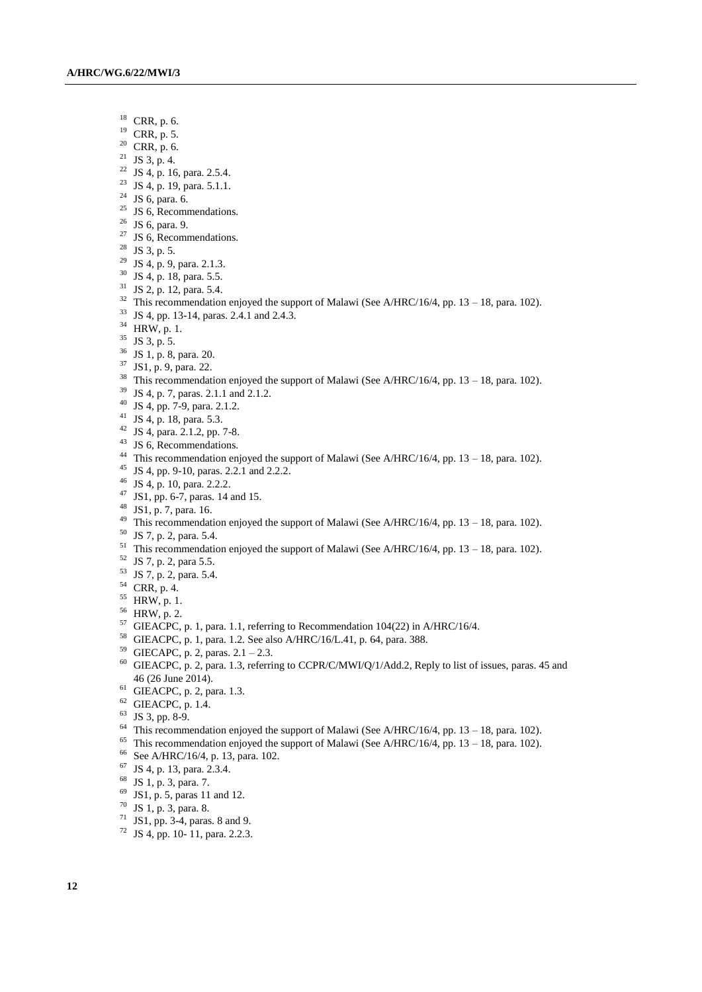- CRR, p. 6.
- CRR, p. 5.
- CRR, p. 6.
- <sup>21</sup> JS 3, p. 4.
- <sup>22</sup> JS 4, p. 16, para. 2.5.4.
- <sup>23</sup> JS 4, p. 19, para. 5.1.1.
- <sup>24</sup> JS 6, para. 6.
- <sup>25</sup> JS 6, Recommendations.
- JS 6, para. 9.
- <sup>27</sup> JS 6, Recommendations.
- JS 3, p. 5.
- JS 4, p. 9, para. 2.1.3.
- JS 4, p. 18, para. 5.5.
- JS 2, p. 12, para. 5.4.
- <sup>32</sup> This recommendation enjoyed the support of Malawi (See A/HRC/16/4, pp. 13 18, para. 102).
- JS 4, pp. 13-14, paras. 2.4.1 and 2.4.3.
- HRW, p. 1.
- JS 3, p. 5.
- JS 1, p. 8, para. 20.
- JS1, p. 9, para. 22.
- <sup>38</sup> This recommendation enjoyed the support of Malawi (See A/HRC/16/4, pp. 13 18, para. 102).
- JS 4, p. 7, paras. 2.1.1 and 2.1.2.
- JS 4, pp. 7-9, para. 2.1.2.
- JS 4, p. 18, para. 5.3.
- JS 4, para. 2.1.2, pp. 7-8.
- JS 6, Recommendations.
- This recommendation enjoyed the support of Malawi (See A/HRC/16/4, pp. 13 18, para. 102).
- JS 4, pp. 9-10, paras. 2.2.1 and 2.2.2.
- JS 4, p. 10, para. 2.2.2.
- JS1, pp. 6-7, paras. 14 and 15.
- JS1, p. 7, para. 16.
- <sup>49</sup> This recommendation enjoyed the support of Malawi (See A/HRC/16/4, pp. 13 18, para. 102).
- JS 7, p. 2, para. 5.4.
- <sup>51</sup> This recommendation enjoyed the support of Malawi (See A/HRC/16/4, pp. 13 18, para. 102).
- JS 7, p. 2, para 5.5.
- JS 7, p. 2, para. 5.4.
- CRR, p. 4.
- HRW, p. 1.
- HRW, p. 2.
- GIEACPC, p. 1, para. 1.1, referring to Recommendation 104(22) in A/HRC/16/4.
- GIEACPC, p. 1, para. 1.2. See also A/HRC/16/L.41, p. 64, para. 388.
- <sup>59</sup> GIECAPC, p. 2, paras.  $2.1 2.3$ .
- <sup>60</sup> GIEACPC, p. 2, para. 1.3, referring to CCPR/C/MWI/Q/1/Add.2, Reply to list of issues, paras. 45 and (26 June 2014).
- GIEACPC, p. 2, para. 1.3.
- GIEACPC, p. 1.4.
- JS 3, pp. 8-9.
- <sup>64</sup> This recommendation enjoyed the support of Malawi (See A/HRC/16/4, pp. 13 18, para. 102).
- <sup>65</sup> This recommendation enjoyed the support of Malawi (See A/HRC/16/4, pp. 13 18, para. 102).
- See A/HRC/16/4, p. 13, para. 102.
- JS 4, p. 13, para. 2.3.4.
- JS 1, p. 3, para. 7.
- JS1, p. 5, paras 11 and 12.
- JS 1, p. 3, para. 8.
- JS1, pp. 3-4, paras. 8 and 9.
- JS 4, pp. 10- 11, para. 2.2.3.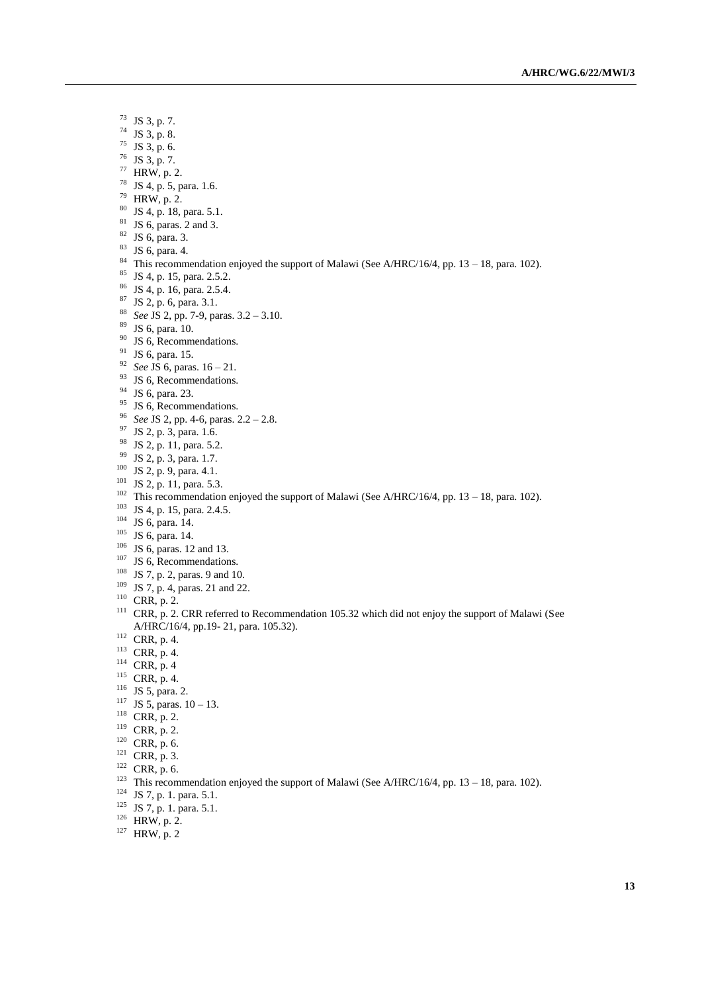- JS 3, p. 7.
- JS 3, p. 8.
- JS 3, p. 6.
- JS 3, p. 7.
- HRW, p. 2.
- JS 4, p. 5, para. 1.6.
- HRW, p. 2.
- JS 4, p. 18, para. 5.1.
- JS 6, paras. 2 and 3.
- JS 6, para. 3.
- JS 6, para. 4.
- 
- <sup>84</sup> This recommendation enjoyed the support of Malawi (See A/HRC/16/4, pp. 13 18, para. 102).
- JS 4, p. 15, para. 2.5.2.
- JS 4, p. 16, para. 2.5.4.
- JS 2, p. 6, para. 3.1.
- *See* JS 2, pp. 7-9, paras. 3.2 3.10.
- JS 6, para. 10.
- <sup>90</sup> JS 6, Recommendations.
- <sup>91</sup> JS 6, para. 15.
- *See* JS 6, paras. 16 21.
- <sup>93</sup> JS 6, Recommendations.
- JS 6, para. 23.
- <sup>95</sup> JS 6, Recommendations.
- *See* JS 2, pp. 4-6, paras. 2.2 2.8.
- <sup>97</sup> JS 2, p. 3, para. 1.6.
- <sup>98</sup> JS 2, p. 11, para. 5.2.
- JS 2, p. 3, para. 1.7.
- <sup>100</sup> JS 2, p. 9, para. 4.1.
- JS 2, p. 11, para. 5.3.
- <sup>102</sup> This recommendation enjoyed the support of Malawi (See A/HRC/16/4, pp. 13 18, para. 102).
- JS 4, p. 15, para. 2.4.5.
- JS 6, para. 14.
- JS 6, para. 14.
- JS 6, paras. 12 and 13.
- <sup>107</sup> JS 6, Recommendations.
- JS 7, p. 2, paras. 9 and 10.
- <sup>109</sup> JS 7, p. 4, paras. 21 and 22.
- CRR, p. 2.
- <sup>111</sup> CRR, p. 2. CRR referred to Recommendation 105.32 which did not enjoy the support of Malawi (See A/HRC/16/4, pp.19- 21, para. 105.32).
- CRR, p. 4.
- CRR, p. 4.
- <sup>114</sup> CRR, p. 4
- CRR, p. 4.
- <sup>116</sup> JS 5, para. 2.
- <sup>117</sup> JS 5, paras.  $10 13$ .
- CRR, p. 2.
- <sup>119</sup> CRR, p. 2.
- CRR, p. 6.
- CRR, p. 3.
- 
- CRR, p. 6.
- <sup>123</sup> This recommendation enjoyed the support of Malawi (See A/HRC/16/4, pp. 13 18, para. 102).
- JS 7, p. 1. para. 5.1.
- JS 7, p. 1. para. 5.1.
- HRW, p. 2.
- HRW, p. 2